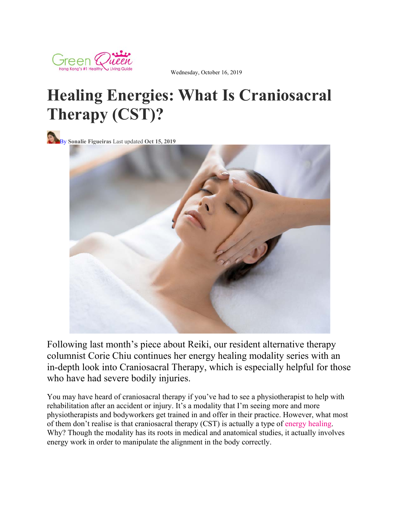

Wednesday, October 16, 2019

## **Healing Energies: What Is Craniosacral Therapy (CST)?**



By **Sonalie Figueiras** Last updated **Oct 15, 2019**



Following last month's piece about Reiki, our resident alternative therapy columnist Corie Chiu continues her energy healing modality series with an in-depth look into Craniosacral Therapy, which is especially helpful for those who have had severe bodily injuries.

You may have heard of craniosacral therapy if you've had to see a physiotherapist to help with rehabilitation after an accident or injury. It's a modality that I'm seeing more and more physiotherapists and bodyworkers get trained in and offer in their practice. However, what most of them don't realise is that craniosacral therapy (CST) is actually a type of energy healing. Why? Though the modality has its roots in medical and anatomical studies, it actually involves energy work in order to manipulate the alignment in the body correctly.